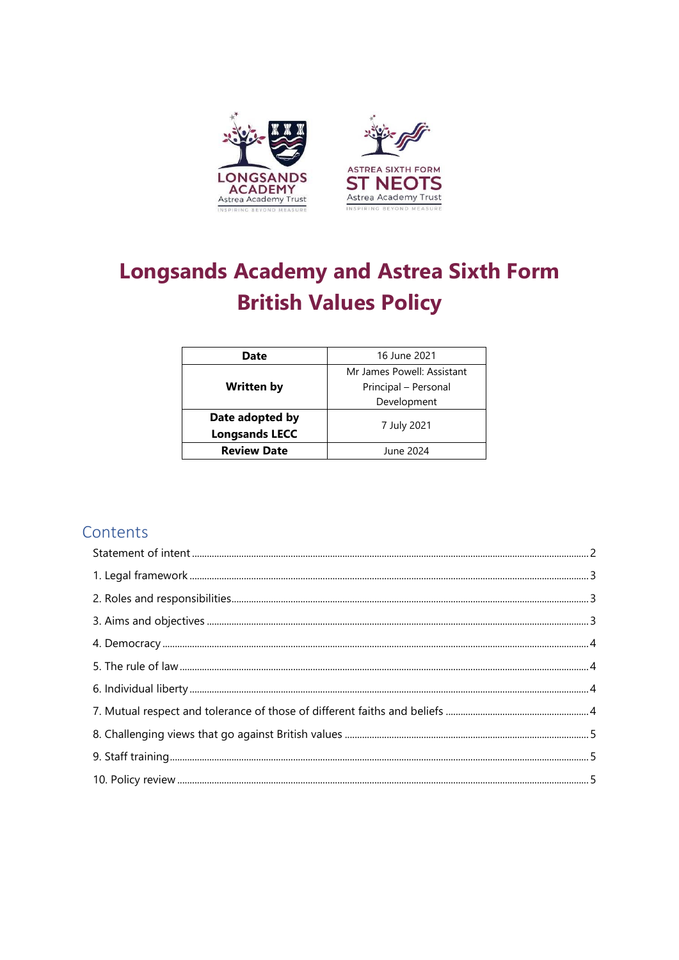

# **Longsands Academy and Astrea Sixth Form British Values Policy**

| Date                  | 16 June 2021               |
|-----------------------|----------------------------|
|                       | Mr James Powell: Assistant |
| <b>Written by</b>     | Principal - Personal       |
|                       | Development                |
| Date adopted by       | 7 July 2021                |
| <b>Longsands LECC</b> |                            |
| <b>Review Date</b>    | June 2024                  |

# Contents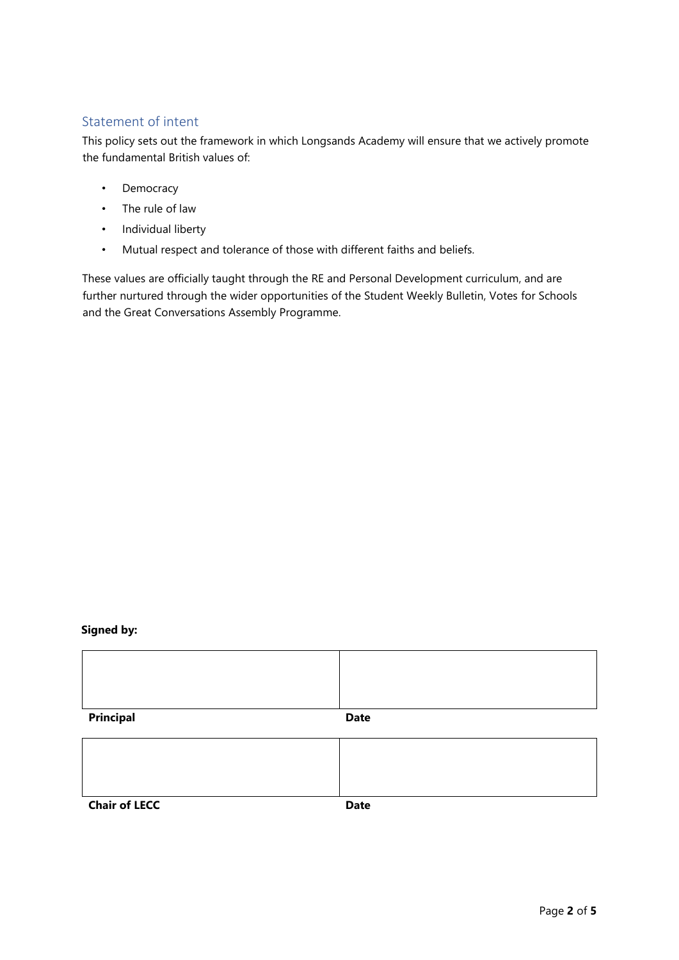# <span id="page-1-0"></span>Statement of intent

This policy sets out the framework in which Longsands Academy will ensure that we actively promote the fundamental British values of:

- Democracy
- The rule of law
- Individual liberty
- Mutual respect and tolerance of those with different faiths and beliefs.

These values are officially taught through the RE and Personal Development curriculum, and are further nurtured through the wider opportunities of the Student Weekly Bulletin, Votes for Schools and the Great Conversations Assembly Programme.

#### **Signed by:**

| Principal            | <b>Date</b> |
|----------------------|-------------|
|                      |             |
| <b>Chair of LECC</b> | <b>Date</b> |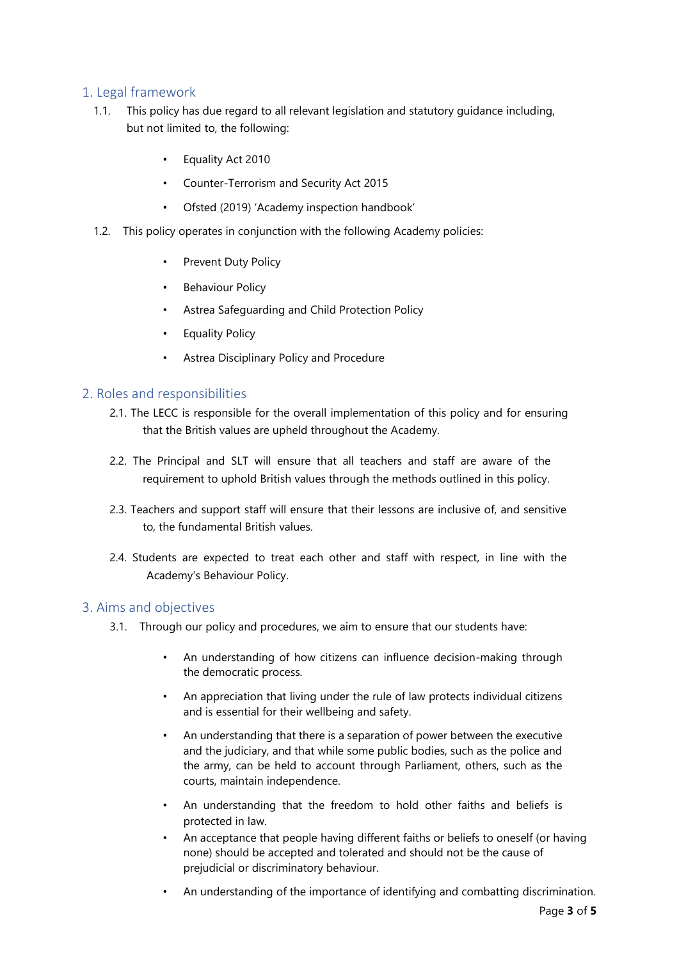# <span id="page-2-0"></span>1. Legal framework

- 1.1. This policy has due regard to all relevant legislation and statutory guidance including, but not limited to, the following:
	- Equality Act 2010
	- Counter-Terrorism and Security Act 2015
	- Ofsted (2019) 'Academy inspection handbook'
- 1.2. This policy operates in conjunction with the following Academy policies:
	- Prevent Duty Policy
	- Behaviour Policy
	- Astrea Safeguarding and Child Protection Policy
	- Equality Policy
	- Astrea Disciplinary Policy and Procedure

## <span id="page-2-1"></span>2. Roles and responsibilities

- 2.1. The LECC is responsible for the overall implementation of this policy and for ensuring that the British values are upheld throughout the Academy.
- 2.2. The Principal and SLT will ensure that all teachers and staff are aware of the requirement to uphold British values through the methods outlined in this policy.
- 2.3. Teachers and support staff will ensure that their lessons are inclusive of, and sensitive to, the fundamental British values.
- 2.4. Students are expected to treat each other and staff with respect, in line with the Academy's Behaviour Policy.

#### <span id="page-2-2"></span>3. Aims and objectives

- 3.1. Through our policy and procedures, we aim to ensure that our students have:
	- An understanding of how citizens can influence decision-making through the democratic process.
	- An appreciation that living under the rule of law protects individual citizens and is essential for their wellbeing and safety.
	- An understanding that there is a separation of power between the executive and the judiciary, and that while some public bodies, such as the police and the army, can be held to account through Parliament, others, such as the courts, maintain independence.
	- An understanding that the freedom to hold other faiths and beliefs is protected in law.
	- An acceptance that people having different faiths or beliefs to oneself (or having none) should be accepted and tolerated and should not be the cause of prejudicial or discriminatory behaviour.
	- An understanding of the importance of identifying and combatting discrimination.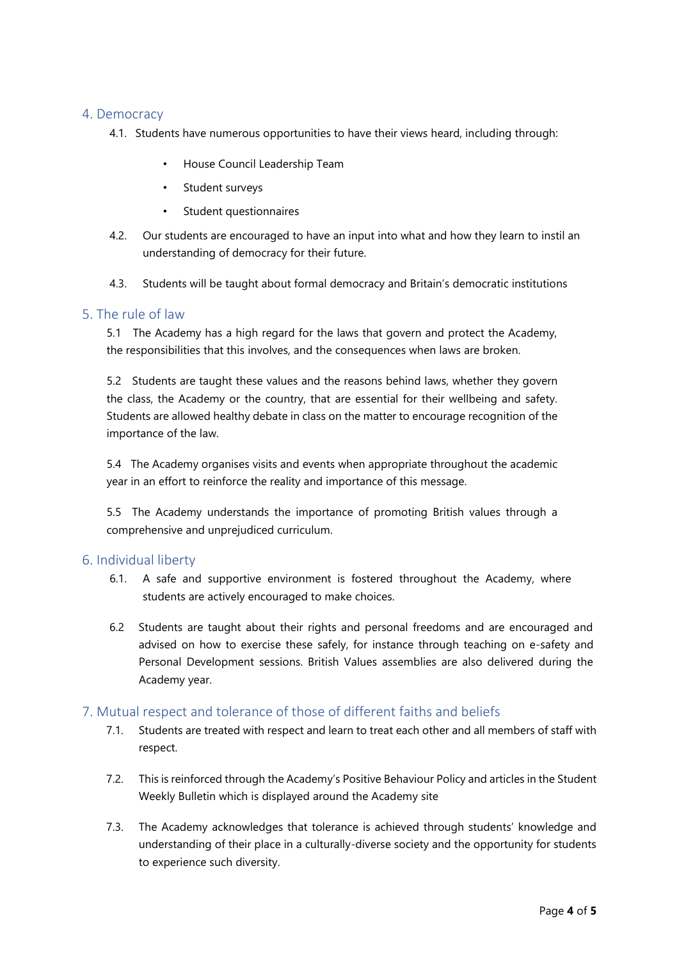#### <span id="page-3-0"></span>4. Democracy

- 4.1. Students have numerous opportunities to have their views heard, including through:
	- House Council Leadership Team
	- Student surveys
	- Student questionnaires
- 4.2. Our students are encouraged to have an input into what and how they learn to instil an understanding of democracy for their future.
- 4.3. Students will be taught about formal democracy and Britain's democratic institutions

#### <span id="page-3-1"></span>5. The rule of law

5.1 The Academy has a high regard for the laws that govern and protect the Academy, the responsibilities that this involves, and the consequences when laws are broken.

5.2 Students are taught these values and the reasons behind laws, whether they govern the class, the Academy or the country, that are essential for their wellbeing and safety. Students are allowed healthy debate in class on the matter to encourage recognition of the importance of the law.

5.4 The Academy organises visits and events when appropriate throughout the academic year in an effort to reinforce the reality and importance of this message.

5.5 The Academy understands the importance of promoting British values through a comprehensive and unprejudiced curriculum.

#### <span id="page-3-2"></span>6. Individual liberty

- 6.1. A safe and supportive environment is fostered throughout the Academy, where students are actively encouraged to make choices.
- 6.2 Students are taught about their rights and personal freedoms and are encouraged and advised on how to exercise these safely, for instance through teaching on e-safety and Personal Development sessions. British Values assemblies are also delivered during the Academy year.

## <span id="page-3-3"></span>7. Mutual respect and tolerance of those of different faiths and beliefs

- 7.1. Students are treated with respect and learn to treat each other and all members of staff with respect.
- 7.2. This is reinforced through the Academy's Positive Behaviour Policy and articles in the Student Weekly Bulletin which is displayed around the Academy site
- 7.3. The Academy acknowledges that tolerance is achieved through students' knowledge and understanding of their place in a culturally-diverse society and the opportunity for students to experience such diversity.